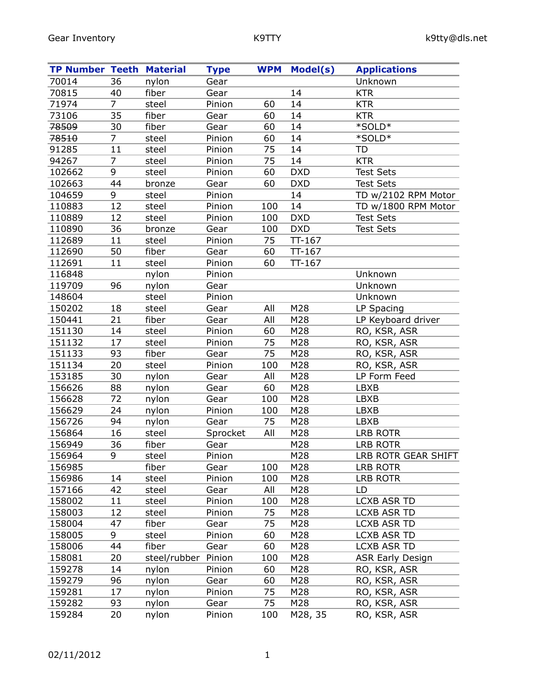| <b>TP Number Teeth Material</b> |                |              | <b>Type</b> | <b>WPM</b> | Model(s)   | <b>Applications</b>     |
|---------------------------------|----------------|--------------|-------------|------------|------------|-------------------------|
| 70014                           | 36             | nylon        | Gear        |            |            | Unknown                 |
| 70815                           | 40             | fiber        | Gear        |            | 14         | <b>KTR</b>              |
| 71974                           | $\overline{7}$ | steel        | Pinion      | 60         | 14         | <b>KTR</b>              |
| 73106                           | 35             | fiber        | Gear        | 60         | 14         | <b>KTR</b>              |
| 78509                           | 30             | fiber        | Gear        | 60         | 14         | *SOLD*                  |
| 78510                           | 7              | steel        | Pinion      | 60         | 14         | *SOLD*                  |
| 91285                           | 11             | steel        | Pinion      | 75         | 14         | TD                      |
| 94267                           | $\overline{7}$ | steel        | Pinion      | 75         | 14         | <b>KTR</b>              |
| 102662                          | 9              | steel        | Pinion      | 60         | <b>DXD</b> | <b>Test Sets</b>        |
| 102663                          | 44             | bronze       | Gear        | 60         | <b>DXD</b> | <b>Test Sets</b>        |
| 104659                          | 9              | steel        | Pinion      |            | 14         | TD w/2102 RPM Motor     |
| 110883                          | 12             | steel        | Pinion      | 100        | 14         | TD w/1800 RPM Motor     |
| 110889                          | 12             | steel        | Pinion      | 100        | <b>DXD</b> | <b>Test Sets</b>        |
| 110890                          | 36             | bronze       | Gear        | 100        | <b>DXD</b> | <b>Test Sets</b>        |
| 112689                          | 11             | steel        | Pinion      | 75         | $TT-167$   |                         |
| 112690                          | 50             | fiber        | Gear        | 60         | $TT-167$   |                         |
| 112691                          | 11             | steel        | Pinion      | 60         | $TT-167$   |                         |
| 116848                          |                | nylon        | Pinion      |            |            | Unknown                 |
| 119709                          | 96             | nylon        | Gear        |            |            | Unknown                 |
| 148604                          |                | steel        | Pinion      |            |            | Unknown                 |
| 150202                          | 18             | steel        | Gear        | All        | M28        | LP Spacing              |
| 150441                          | 21             | fiber        | Gear        | All        | M28        | LP Keyboard driver      |
| 151130                          | 14             | steel        | Pinion      | 60         | M28        | RO, KSR, ASR            |
| 151132                          | 17             | steel        | Pinion      | 75         | M28        | RO, KSR, ASR            |
| 151133                          | 93             | fiber        | Gear        | 75         | M28        | RO, KSR, ASR            |
| 151134                          | 20             | steel        | Pinion      | 100        | M28        | RO, KSR, ASR            |
| 153185                          | 30             | nylon        | Gear        | All        | M28        | LP Form Feed            |
| 156626                          | 88             | nylon        | Gear        | 60         | M28        | LBXB                    |
| 156628                          | 72             | nylon        | Gear        | 100        | M28        | LBXB                    |
| 156629                          | 24             | nylon        | Pinion      | 100        | M28        | <b>LBXB</b>             |
| 156726                          | 94             | nylon        | Gear        | 75         | M28        | <b>LBXB</b>             |
| 156864                          | 16             | steel        | Sprocket    | All        | M28        | <b>LRB ROTR</b>         |
| 156949                          | 36             | fiber        | Gear        |            | M28        | <b>LRB ROTR</b>         |
| 156964                          | 9              | steel        | Pinion      |            | M28        | LRB ROTR GEAR SHIFT     |
| 156985                          |                | fiber        | Gear        | 100        | M28        | LRB ROTR                |
| 156986                          | 14             | steel        | Pinion      | 100        | M28        | <b>LRB ROTR</b>         |
| 157166                          | 42             | steel        | Gear        | All        | M28        | LD                      |
| 158002                          | 11             | steel        | Pinion      | 100        | M28        | <b>LCXB ASR TD</b>      |
| 158003                          | 12             | steel        | Pinion      | 75         | M28        | <b>LCXB ASR TD</b>      |
| 158004                          | 47             | fiber        | Gear        | 75         | M28        | <b>LCXB ASR TD</b>      |
| 158005                          | 9              | steel        | Pinion      | 60         | M28        | <b>LCXB ASR TD</b>      |
| 158006                          | 44             | fiber        | Gear        | 60         | M28        | <b>LCXB ASR TD</b>      |
| 158081                          | 20             | steel/rubber | Pinion      | 100        | M28        | <b>ASR Early Design</b> |
| 159278                          | 14             | nylon        | Pinion      | 60         | M28        | RO, KSR, ASR            |
| 159279                          | 96             | nylon        | Gear        | 60         | M28        | RO, KSR, ASR            |
| 159281                          | 17             | nylon        | Pinion      | 75         | M28        | RO, KSR, ASR            |
| 159282                          | 93             | nylon        | Gear        | 75         | M28        | RO, KSR, ASR            |
| 159284                          | 20             | nylon        | Pinion      | 100        | M28, 35    | RO, KSR, ASR            |